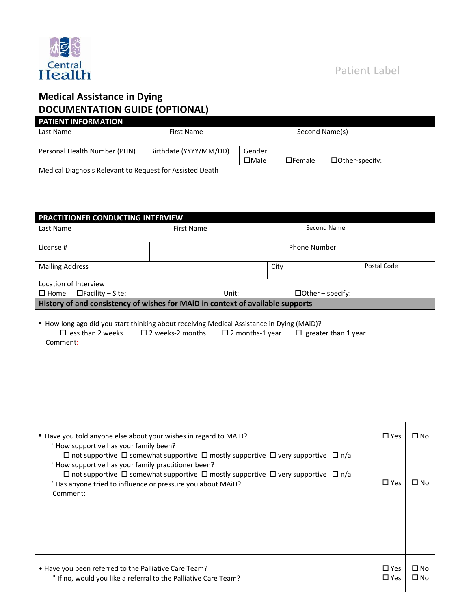

## Patient Label

## **Medical Assistance in Dying DOCUMENTATION GUIDE (OPTIONAL)**

| <b>PATIENT INFORMATION</b>                                                                                                                                                                                                                                                                                                                                                                                                                                                                     |                            |                           |      |                                  |                                |                              |
|------------------------------------------------------------------------------------------------------------------------------------------------------------------------------------------------------------------------------------------------------------------------------------------------------------------------------------------------------------------------------------------------------------------------------------------------------------------------------------------------|----------------------------|---------------------------|------|----------------------------------|--------------------------------|------------------------------|
| Last Name                                                                                                                                                                                                                                                                                                                                                                                                                                                                                      | <b>First Name</b>          |                           |      | Second Name(s)                   |                                |                              |
| Personal Health Number (PHN)                                                                                                                                                                                                                                                                                                                                                                                                                                                                   | Birthdate (YYYY/MM/DD)     | Gender<br>$\Box$ Male     |      | $\Box$ Female<br>□Other-specify: |                                |                              |
| Medical Diagnosis Relevant to Request for Assisted Death                                                                                                                                                                                                                                                                                                                                                                                                                                       |                            |                           |      |                                  |                                |                              |
|                                                                                                                                                                                                                                                                                                                                                                                                                                                                                                |                            |                           |      |                                  |                                |                              |
|                                                                                                                                                                                                                                                                                                                                                                                                                                                                                                |                            |                           |      |                                  |                                |                              |
| PRACTITIONER CONDUCTING INTERVIEW                                                                                                                                                                                                                                                                                                                                                                                                                                                              |                            |                           |      |                                  |                                |                              |
| Last Name                                                                                                                                                                                                                                                                                                                                                                                                                                                                                      | <b>First Name</b>          |                           |      | Second Name                      |                                |                              |
| License #                                                                                                                                                                                                                                                                                                                                                                                                                                                                                      |                            |                           |      | Phone Number                     |                                |                              |
| <b>Mailing Address</b>                                                                                                                                                                                                                                                                                                                                                                                                                                                                         |                            |                           | City |                                  | Postal Code                    |                              |
| Location of Interview<br>$\square$ Home<br>$\Box$ Facility – Site:                                                                                                                                                                                                                                                                                                                                                                                                                             | Unit:                      |                           |      | $\Box$ Other – specify:          |                                |                              |
| History of and consistency of wishes for MAiD in context of available supports                                                                                                                                                                                                                                                                                                                                                                                                                 |                            |                           |      |                                  |                                |                              |
| " How long ago did you start thinking about receiving Medical Assistance in Dying (MAiD)?<br>$\square$ less than 2 weeks<br>Comment:                                                                                                                                                                                                                                                                                                                                                           | $\square$ 2 weeks-2 months | $\square$ 2 months-1 year |      | $\Box$ greater than 1 year       |                                |                              |
| " Have you told anyone else about your wishes in regard to MAiD?<br><sup>e</sup> How supportive has your family been?<br>$\Box$ not supportive $\Box$ somewhat supportive $\Box$ mostly supportive $\Box$ very supportive $\Box$ n/a<br>How supportive has your family practitioner been?<br>$\Box$ not supportive $\Box$ somewhat supportive $\Box$ mostly supportive $\Box$ very supportive $\Box$ n/a<br><sup>e</sup> Has anyone tried to influence or pressure you about MAiD?<br>Comment: |                            |                           |      |                                  | $\square$ Yes<br>$\square$ Yes | $\square$ No<br>$\square$ No |
| • Have you been referred to the Palliative Care Team?<br>° If no, would you like a referral to the Palliative Care Team?                                                                                                                                                                                                                                                                                                                                                                       |                            |                           |      |                                  | $\square$ Yes<br>$\square$ Yes | $\square$ No<br>$\square$ No |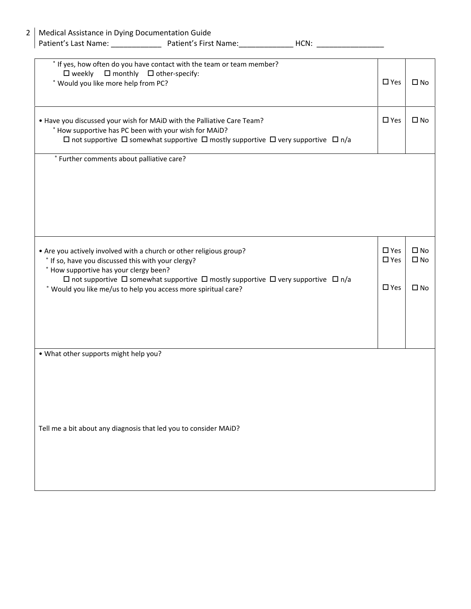| HCN: |  |
|------|--|
|      |  |

| ° If yes, how often do you have contact with the team or team member?<br>$\Box$ monthly $\Box$ other-specify:<br>$\square$ weekly<br>° Would you like more help from PC?                                                                                                                                                                                        | $\square$ Yes                                   | $\square$ No                                 |
|-----------------------------------------------------------------------------------------------------------------------------------------------------------------------------------------------------------------------------------------------------------------------------------------------------------------------------------------------------------------|-------------------------------------------------|----------------------------------------------|
| • Have you discussed your wish for MAiD with the Palliative Care Team?<br><sup>e</sup> How supportive has PC been with your wish for MAiD?<br>$\Box$ not supportive $\Box$ somewhat supportive $\Box$ mostly supportive $\Box$ very supportive $\Box$ n/a                                                                                                       | $\square$ Yes                                   | $\square$ No                                 |
| <sup>e</sup> Further comments about palliative care?                                                                                                                                                                                                                                                                                                            |                                                 |                                              |
| • Are you actively involved with a church or other religious group?<br>° If so, have you discussed this with your clergy?<br><sup>e</sup> How supportive has your clergy been?<br>$\Box$ not supportive $\Box$ somewhat supportive $\Box$ mostly supportive $\Box$ very supportive $\Box$ n/a<br>° Would you like me/us to help you access more spiritual care? | $\square$ Yes<br>$\square$ Yes<br>$\square$ Yes | $\square$ No<br>$\square$ No<br>$\square$ No |
| . What other supports might help you?<br>Tell me a bit about any diagnosis that led you to consider MAiD?                                                                                                                                                                                                                                                       |                                                 |                                              |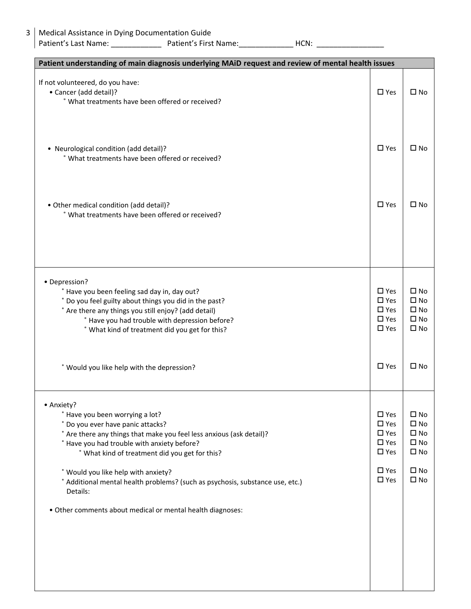| Patient understanding of main diagnosis underlying MAiD request and review of mental health issues                                                                                                                                                                                                                                                                                                                                                                                           |                                                                                                                     |                                                                                                              |
|----------------------------------------------------------------------------------------------------------------------------------------------------------------------------------------------------------------------------------------------------------------------------------------------------------------------------------------------------------------------------------------------------------------------------------------------------------------------------------------------|---------------------------------------------------------------------------------------------------------------------|--------------------------------------------------------------------------------------------------------------|
| If not volunteered, do you have:<br>• Cancer (add detail)?<br>° What treatments have been offered or received?                                                                                                                                                                                                                                                                                                                                                                               | $\square$ Yes                                                                                                       | $\square$ No                                                                                                 |
| • Neurological condition (add detail)?<br>° What treatments have been offered or received?                                                                                                                                                                                                                                                                                                                                                                                                   | $\Box$ Yes                                                                                                          | $\square$ No                                                                                                 |
| • Other medical condition (add detail)?<br>° What treatments have been offered or received?                                                                                                                                                                                                                                                                                                                                                                                                  | $\square$ Yes                                                                                                       | □ No                                                                                                         |
|                                                                                                                                                                                                                                                                                                                                                                                                                                                                                              |                                                                                                                     |                                                                                                              |
| • Depression?<br><sup>e</sup> Have you been feeling sad day in, day out?<br>° Do you feel guilty about things you did in the past?<br>° Are there any things you still enjoy? (add detail)<br><sup>e</sup> Have you had trouble with depression before?<br>° What kind of treatment did you get for this?<br>° Would you like help with the depression?                                                                                                                                      | $\Box$ Yes<br>$\square$ Yes<br>$\square$ Yes<br>$\square$ Yes<br>$\square$ Yes<br>$\Box$ Yes                        | $\square$ No<br>$\square$ No<br>$\square$ No<br>$\square$ No<br>$\square$ No<br>$\square$ No                 |
| • Anxiety?<br><sup>e</sup> Have you been worrying a lot?<br>Do you ever have panic attacks?<br>° Are there any things that make you feel less anxious (ask detail)?<br><sup>e</sup> Have you had trouble with anxiety before?<br>° What kind of treatment did you get for this?<br>° Would you like help with anxiety?<br><sup>e</sup> Additional mental health problems? (such as psychosis, substance use, etc.)<br>Details:<br>. Other comments about medical or mental health diagnoses: | $\square$ Yes<br>$\square$ Yes<br>$\square$ Yes<br>$\square$ Yes<br>$\square$ Yes<br>$\square$ Yes<br>$\square$ Yes | $\square$ No<br>$\square$ No<br>$\square$ No<br>$\square$ No<br>$\square$ No<br>$\square$ No<br>$\square$ No |
|                                                                                                                                                                                                                                                                                                                                                                                                                                                                                              |                                                                                                                     |                                                                                                              |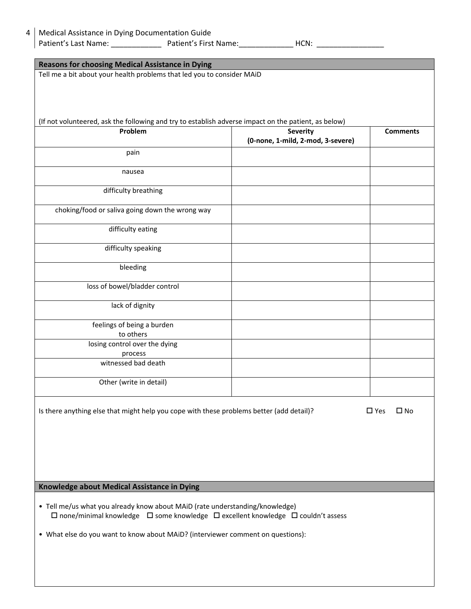| <b>Reasons for choosing Medical Assistance in Dying</b>                                               |                                   |                               |  |  |  |
|-------------------------------------------------------------------------------------------------------|-----------------------------------|-------------------------------|--|--|--|
| Tell me a bit about your health problems that led you to consider MAiD                                |                                   |                               |  |  |  |
|                                                                                                       |                                   |                               |  |  |  |
|                                                                                                       |                                   |                               |  |  |  |
|                                                                                                       |                                   |                               |  |  |  |
| (If not volunteered, ask the following and try to establish adverse impact on the patient, as below)  |                                   |                               |  |  |  |
| Problem                                                                                               | <b>Severity</b>                   | <b>Comments</b>               |  |  |  |
|                                                                                                       | (0-none, 1-mild, 2-mod, 3-severe) |                               |  |  |  |
| pain                                                                                                  |                                   |                               |  |  |  |
|                                                                                                       |                                   |                               |  |  |  |
| nausea                                                                                                |                                   |                               |  |  |  |
|                                                                                                       |                                   |                               |  |  |  |
| difficulty breathing                                                                                  |                                   |                               |  |  |  |
| choking/food or saliva going down the wrong way                                                       |                                   |                               |  |  |  |
|                                                                                                       |                                   |                               |  |  |  |
| difficulty eating                                                                                     |                                   |                               |  |  |  |
|                                                                                                       |                                   |                               |  |  |  |
| difficulty speaking                                                                                   |                                   |                               |  |  |  |
|                                                                                                       |                                   |                               |  |  |  |
| bleeding                                                                                              |                                   |                               |  |  |  |
|                                                                                                       |                                   |                               |  |  |  |
| loss of bowel/bladder control                                                                         |                                   |                               |  |  |  |
| lack of dignity                                                                                       |                                   |                               |  |  |  |
|                                                                                                       |                                   |                               |  |  |  |
| feelings of being a burden                                                                            |                                   |                               |  |  |  |
| to others                                                                                             |                                   |                               |  |  |  |
| losing control over the dying                                                                         |                                   |                               |  |  |  |
| process                                                                                               |                                   |                               |  |  |  |
| witnessed bad death                                                                                   |                                   |                               |  |  |  |
|                                                                                                       |                                   |                               |  |  |  |
| Other (write in detail)                                                                               |                                   |                               |  |  |  |
|                                                                                                       |                                   |                               |  |  |  |
| Is there anything else that might help you cope with these problems better (add detail)?              |                                   | $\square$ Yes<br>$\square$ No |  |  |  |
|                                                                                                       |                                   |                               |  |  |  |
|                                                                                                       |                                   |                               |  |  |  |
|                                                                                                       |                                   |                               |  |  |  |
|                                                                                                       |                                   |                               |  |  |  |
|                                                                                                       |                                   |                               |  |  |  |
|                                                                                                       |                                   |                               |  |  |  |
| Knowledge about Medical Assistance in Dying                                                           |                                   |                               |  |  |  |
|                                                                                                       |                                   |                               |  |  |  |
| • Tell me/us what you already know about MAiD (rate understanding/knowledge)                          |                                   |                               |  |  |  |
| $\Box$ none/minimal knowledge $\Box$ some knowledge $\Box$ excellent knowledge $\Box$ couldn't assess |                                   |                               |  |  |  |
|                                                                                                       |                                   |                               |  |  |  |
| • What else do you want to know about MAiD? (interviewer comment on questions):                       |                                   |                               |  |  |  |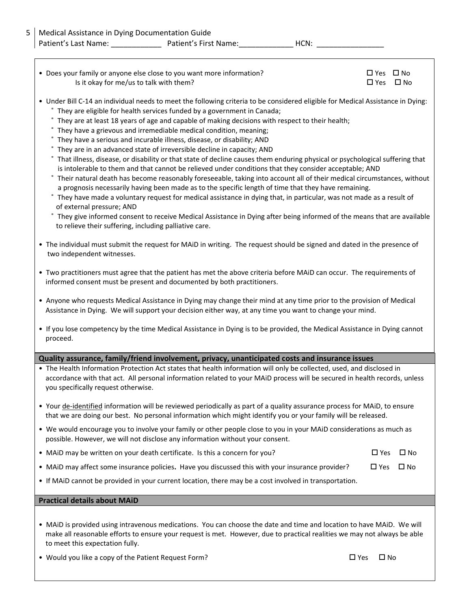| • Does your family or anyone else close to you want more information? | □ Yes □ No |  |
|-----------------------------------------------------------------------|------------|--|
| Is it okay for me/us to talk with them?                               | □ Yes □ No |  |

- Under Bill C-14 an individual needs to meet the following criteria to be considered eligible for Medical Assistance in Dying:
	- ˚ They are eligible for health services funded by a government in Canada;
	- ˚ They are at least 18 years of age and capable of making decisions with respect to their health;
	- ˚ They have a grievous and irremediable medical condition, meaning;
	- ˚ They have a serious and incurable illness, disease, or disability; AND
	- ˚ They are in an advanced state of irreversible decline in capacity; AND
	- ˚ That illness, disease, or disability or that state of decline causes them enduring physical or psychological suffering that is intolerable to them and that cannot be relieved under conditions that they consider acceptable; AND
	- ˚ Their natural death has become reasonably foreseeable, taking into account all of their medical circumstances, without a prognosis necessarily having been made as to the specific length of time that they have remaining.
	- ˚ They have made a voluntary request for medical assistance in dying that, in particular, was not made as a result of of external pressure; AND
	- ˚ They give informed consent to receive Medical Assistance in Dying after being informed of the means that are available to relieve their suffering, including palliative care.
- The individual must submit the request for MAiD in writing. The request should be signed and dated in the presence of two independent witnesses.
- Two practitioners must agree that the patient has met the above criteria before MAiD can occur. The requirements of informed consent must be present and documented by both practitioners.
- Anyone who requests Medical Assistance in Dying may change their mind at any time prior to the provision of Medical Assistance in Dying. We will support your decision either way, at any time you want to change your mind.
- If you lose competency by the time Medical Assistance in Dying is to be provided, the Medical Assistance in Dying cannot proceed.

## **Quality assurance, family/friend involvement, privacy, unanticipated costs and insurance issues**

- The Health Information Protection Act states that health information will only be collected, used, and disclosed in accordance with that act. All personal information related to your MAiD process will be secured in health records, unless you specifically request otherwise.
- Your de-identified information will be reviewed periodically as part of a quality assurance process for MAiD, to ensure that we are doing our best. No personal information which might identify you or your family will be released.
- We would encourage you to involve your family or other people close to you in your MAiD considerations as much as possible. However, we will not disclose any information without your consent.
- MAiD may be written on your death certificate. Is this a concern for you?  $\square$  Yes  $\square$  No
- MAiD may affect some insurance policies. Have you discussed this with your insurance provider?  $\square$  Yes  $\square$  No
- If MAiD cannot be provided in your current location, there may be a cost involved in transportation.

## **Practical details about MAiD**

- MAiD is provided using intravenous medications. You can choose the date and time and location to have MAiD. We will make all reasonable efforts to ensure your request is met. However, due to practical realities we may not always be able to meet this expectation fully.
- Would you like a copy of the Patient Request Form?  $\Box$  Yes  $\Box$  No